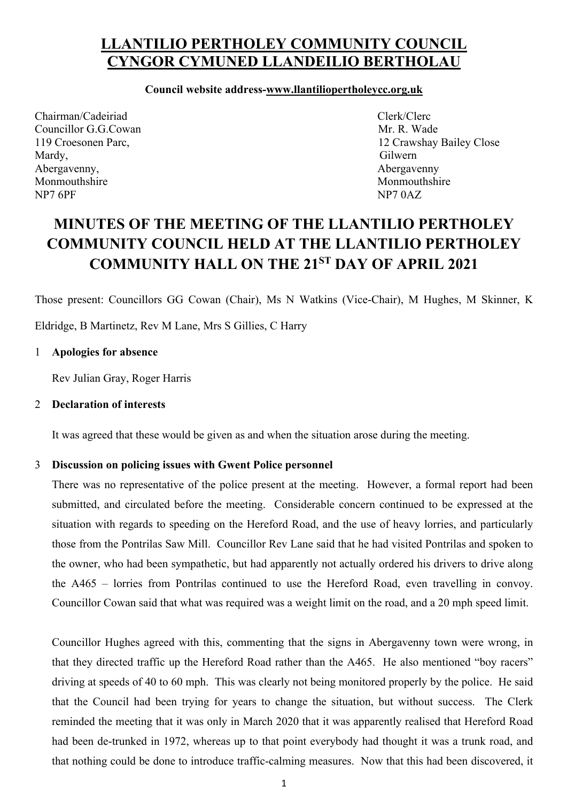## **LLANTILIO PERTHOLEY COMMUNITY COUNCIL CYNGOR CYMUNED LLANDEILIO BERTHOLAU**

### **Council website address-www.llantiliopertholeycc.org.uk**

Chairman/Cadeiriad Clerk/Clerc Councillor G.G.Cowan Mr. R. Wade Mardy, Gilwern Abergavenny, and the same of the same of the same of the same of the same of the same of the same of the same of the same of the same of the same of the same of the same of the same of the same of the same of the same of t Monmouthshire Monmouthshire Monmouthshire NP7 6PF NP7 0AZ

119 Croesonen Parc, 12 Crawshay Bailey Close

# **MINUTES OF THE MEETING OF THE LLANTILIO PERTHOLEY COMMUNITY COUNCIL HELD AT THE LLANTILIO PERTHOLEY COMMUNITY HALL ON THE 21ST DAY OF APRIL 2021**

Those present: Councillors GG Cowan (Chair), Ms N Watkins (Vice-Chair), M Hughes, M Skinner, K

Eldridge, B Martinetz, Rev M Lane, Mrs S Gillies, C Harry

### 1 **Apologies for absence**

Rev Julian Gray, Roger Harris

### 2 **Declaration of interests**

It was agreed that these would be given as and when the situation arose during the meeting.

### 3 **Discussion on policing issues with Gwent Police personnel**

There was no representative of the police present at the meeting. However, a formal report had been submitted, and circulated before the meeting. Considerable concern continued to be expressed at the situation with regards to speeding on the Hereford Road, and the use of heavy lorries, and particularly those from the Pontrilas Saw Mill. Councillor Rev Lane said that he had visited Pontrilas and spoken to the owner, who had been sympathetic, but had apparently not actually ordered his drivers to drive along the A465 – lorries from Pontrilas continued to use the Hereford Road, even travelling in convoy. Councillor Cowan said that what was required was a weight limit on the road, and a 20 mph speed limit.

Councillor Hughes agreed with this, commenting that the signs in Abergavenny town were wrong, in that they directed traffic up the Hereford Road rather than the A465. He also mentioned "boy racers" driving at speeds of 40 to 60 mph. This was clearly not being monitored properly by the police. He said that the Council had been trying for years to change the situation, but without success. The Clerk reminded the meeting that it was only in March 2020 that it was apparently realised that Hereford Road had been de-trunked in 1972, whereas up to that point everybody had thought it was a trunk road, and that nothing could be done to introduce traffic-calming measures. Now that this had been discovered, it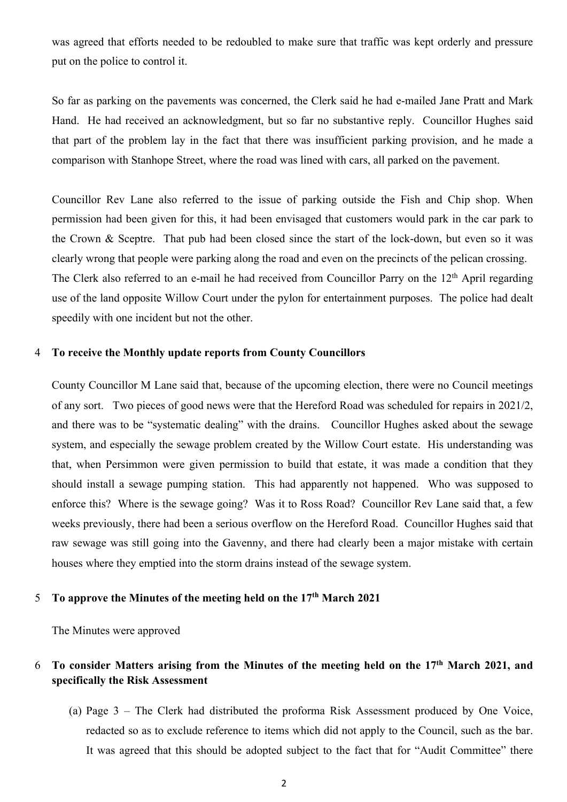was agreed that efforts needed to be redoubled to make sure that traffic was kept orderly and pressure put on the police to control it.

So far as parking on the pavements was concerned, the Clerk said he had e-mailed Jane Pratt and Mark Hand. He had received an acknowledgment, but so far no substantive reply. Councillor Hughes said that part of the problem lay in the fact that there was insufficient parking provision, and he made a comparison with Stanhope Street, where the road was lined with cars, all parked on the pavement.

Councillor Rev Lane also referred to the issue of parking outside the Fish and Chip shop. When permission had been given for this, it had been envisaged that customers would park in the car park to the Crown & Sceptre. That pub had been closed since the start of the lock-down, but even so it was clearly wrong that people were parking along the road and even on the precincts of the pelican crossing. The Clerk also referred to an e-mail he had received from Councillor Parry on the 12<sup>th</sup> April regarding use of the land opposite Willow Court under the pylon for entertainment purposes. The police had dealt speedily with one incident but not the other.

#### 4 **To receive the Monthly update reports from County Councillors**

County Councillor M Lane said that, because of the upcoming election, there were no Council meetings of any sort. Two pieces of good news were that the Hereford Road was scheduled for repairs in 2021/2, and there was to be "systematic dealing" with the drains. Councillor Hughes asked about the sewage system, and especially the sewage problem created by the Willow Court estate. His understanding was that, when Persimmon were given permission to build that estate, it was made a condition that they should install a sewage pumping station. This had apparently not happened. Who was supposed to enforce this? Where is the sewage going? Was it to Ross Road? Councillor Rev Lane said that, a few weeks previously, there had been a serious overflow on the Hereford Road. Councillor Hughes said that raw sewage was still going into the Gavenny, and there had clearly been a major mistake with certain houses where they emptied into the storm drains instead of the sewage system.

### 5 **To approve the Minutes of the meeting held on the 17th March 2021**

The Minutes were approved

### 6 **To consider Matters arising from the Minutes of the meeting held on the 17th March 2021, and specifically the Risk Assessment**

(a) Page 3 – The Clerk had distributed the proforma Risk Assessment produced by One Voice, redacted so as to exclude reference to items which did not apply to the Council, such as the bar. It was agreed that this should be adopted subject to the fact that for "Audit Committee" there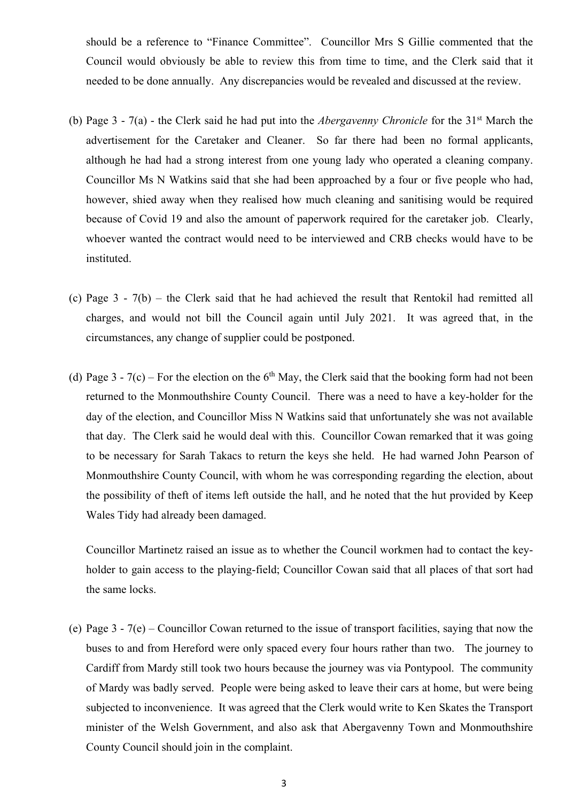should be a reference to "Finance Committee". Councillor Mrs S Gillie commented that the Council would obviously be able to review this from time to time, and the Clerk said that it needed to be done annually. Any discrepancies would be revealed and discussed at the review.

- (b) Page 3 7(a) the Clerk said he had put into the *Abergavenny Chronicle* for the 31st March the advertisement for the Caretaker and Cleaner. So far there had been no formal applicants, although he had had a strong interest from one young lady who operated a cleaning company. Councillor Ms N Watkins said that she had been approached by a four or five people who had, however, shied away when they realised how much cleaning and sanitising would be required because of Covid 19 and also the amount of paperwork required for the caretaker job. Clearly, whoever wanted the contract would need to be interviewed and CRB checks would have to be instituted.
- (c) Page 3 7(b) the Clerk said that he had achieved the result that Rentokil had remitted all charges, and would not bill the Council again until July 2021. It was agreed that, in the circumstances, any change of supplier could be postponed.
- (d) Page 3 7(c) For the election on the  $6<sup>th</sup>$  May, the Clerk said that the booking form had not been returned to the Monmouthshire County Council. There was a need to have a key-holder for the day of the election, and Councillor Miss N Watkins said that unfortunately she was not available that day. The Clerk said he would deal with this. Councillor Cowan remarked that it was going to be necessary for Sarah Takacs to return the keys she held. He had warned John Pearson of Monmouthshire County Council, with whom he was corresponding regarding the election, about the possibility of theft of items left outside the hall, and he noted that the hut provided by Keep Wales Tidy had already been damaged.

Councillor Martinetz raised an issue as to whether the Council workmen had to contact the keyholder to gain access to the playing-field; Councillor Cowan said that all places of that sort had the same locks.

(e) Page 3 - 7(e) – Councillor Cowan returned to the issue of transport facilities, saying that now the buses to and from Hereford were only spaced every four hours rather than two. The journey to Cardiff from Mardy still took two hours because the journey was via Pontypool. The community of Mardy was badly served. People were being asked to leave their cars at home, but were being subjected to inconvenience. It was agreed that the Clerk would write to Ken Skates the Transport minister of the Welsh Government, and also ask that Abergavenny Town and Monmouthshire County Council should join in the complaint.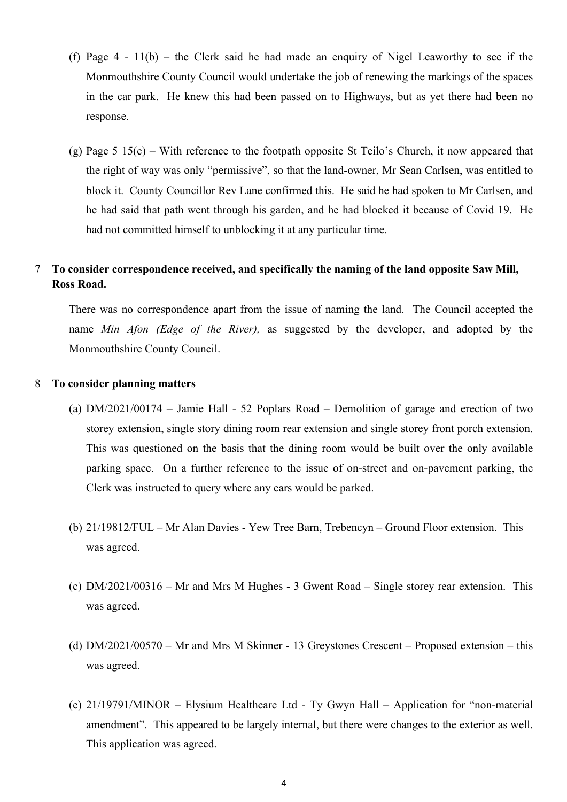- (f) Page 4 11(b) the Clerk said he had made an enquiry of Nigel Leaworthy to see if the Monmouthshire County Council would undertake the job of renewing the markings of the spaces in the car park. He knew this had been passed on to Highways, but as yet there had been no response.
- (g) Page 5 15(c) With reference to the footpath opposite St Teilo's Church, it now appeared that the right of way was only "permissive", so that the land-owner, Mr Sean Carlsen, was entitled to block it. County Councillor Rev Lane confirmed this. He said he had spoken to Mr Carlsen, and he had said that path went through his garden, and he had blocked it because of Covid 19. He had not committed himself to unblocking it at any particular time.

### 7 **To consider correspondence received, and specifically the naming of the land opposite Saw Mill, Ross Road.**

 There was no correspondence apart from the issue of naming the land. The Council accepted the name *Min Afon (Edge of the River),* as suggested by the developer, and adopted by the Monmouthshire County Council.

#### 8 **To consider planning matters**

- (a) DM/2021/00174 Jamie Hall 52 Poplars Road Demolition of garage and erection of two storey extension, single story dining room rear extension and single storey front porch extension. This was questioned on the basis that the dining room would be built over the only available parking space. On a further reference to the issue of on-street and on-pavement parking, the Clerk was instructed to query where any cars would be parked.
- (b) 21/19812/FUL Mr Alan Davies Yew Tree Barn, Trebencyn Ground Floor extension. This was agreed.
- (c) DM/2021/00316 Mr and Mrs M Hughes 3 Gwent Road Single storey rear extension. This was agreed.
- (d) DM/2021/00570 Mr and Mrs M Skinner 13 Greystones Crescent Proposed extension this was agreed.
- (e) 21/19791/MINOR Elysium Healthcare Ltd Ty Gwyn Hall Application for "non-material amendment". This appeared to be largely internal, but there were changes to the exterior as well. This application was agreed.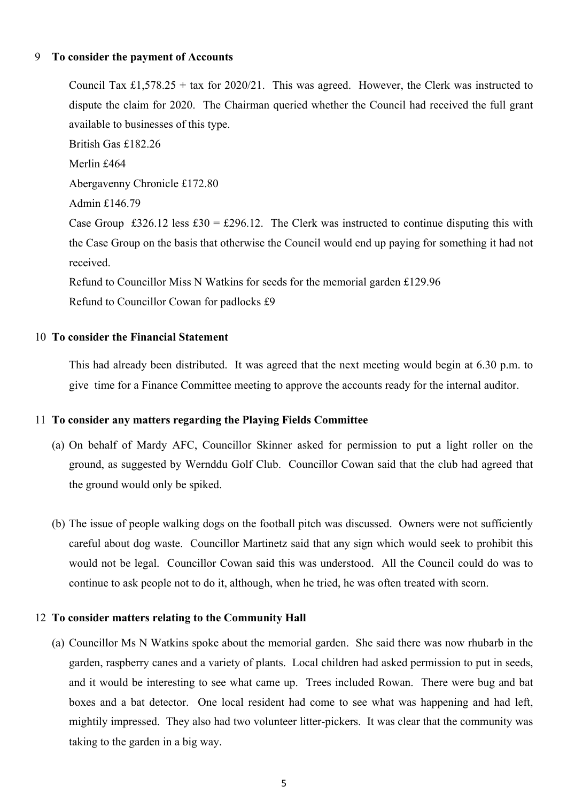### 9 **To consider the payment of Accounts**

Council Tax £1,578.25 + tax for 2020/21. This was agreed. However, the Clerk was instructed to dispute the claim for 2020. The Chairman queried whether the Council had received the full grant available to businesses of this type. British Gas £182.26 Merlin £464 Abergavenny Chronicle £172.80 Admin £146.79 Case Group £326.12 less £30 = £296.12. The Clerk was instructed to continue disputing this with the Case Group on the basis that otherwise the Council would end up paying for something it had not received.

Refund to Councillor Miss N Watkins for seeds for the memorial garden £129.96 Refund to Councillor Cowan for padlocks £9

#### 10 **To consider the Financial Statement**

This had already been distributed. It was agreed that the next meeting would begin at 6.30 p.m. to give time for a Finance Committee meeting to approve the accounts ready for the internal auditor.

### 11 **To consider any matters regarding the Playing Fields Committee**

- (a) On behalf of Mardy AFC, Councillor Skinner asked for permission to put a light roller on the ground, as suggested by Wernddu Golf Club. Councillor Cowan said that the club had agreed that the ground would only be spiked.
- (b) The issue of people walking dogs on the football pitch was discussed. Owners were not sufficiently careful about dog waste. Councillor Martinetz said that any sign which would seek to prohibit this would not be legal. Councillor Cowan said this was understood. All the Council could do was to continue to ask people not to do it, although, when he tried, he was often treated with scorn.

### 12 **To consider matters relating to the Community Hall**

(a) Councillor Ms N Watkins spoke about the memorial garden. She said there was now rhubarb in the garden, raspberry canes and a variety of plants. Local children had asked permission to put in seeds, and it would be interesting to see what came up. Trees included Rowan. There were bug and bat boxes and a bat detector. One local resident had come to see what was happening and had left, mightily impressed. They also had two volunteer litter-pickers. It was clear that the community was taking to the garden in a big way.